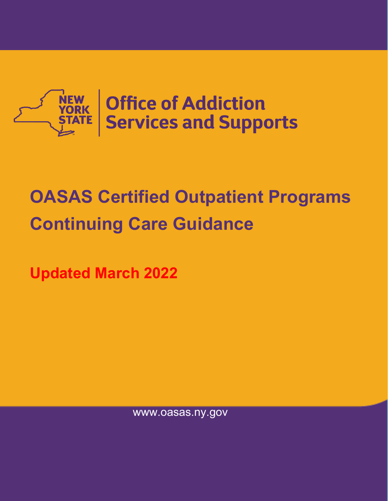

# **OASAS Certified Outpatient Programs Continuing Care Guidance**

**Updated March 2022**

www.oasas.ny.gov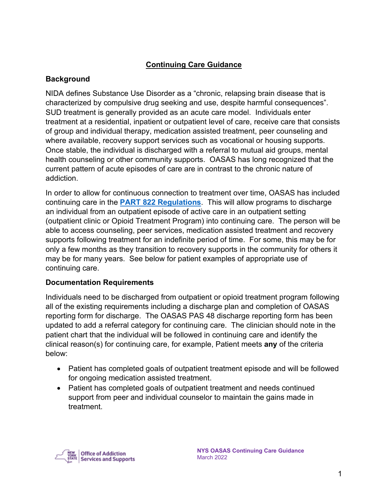## **Continuing Care Guidance**

### **Background**

NIDA defines Substance Use Disorder as a "chronic, relapsing brain disease that is characterized by compulsive drug seeking and use, despite harmful consequences". SUD treatment is generally provided as an acute care model. Individuals enter treatment at a residential, inpatient or outpatient level of care, receive care that consists of group and individual therapy, medication assisted treatment, peer counseling and where available, recovery support services such as vocational or housing supports. Once stable, the individual is discharged with a referral to mutual aid groups, mental health counseling or other community supports. OASAS has long recognized that the current pattern of acute episodes of care are in contrast to the chronic nature of addiction.

In order to allow for continuous connection to treatment over time, OASAS has included continuing care in the **[PART 822 Regulations](https://oasas.ny.gov/general-service-standards-substance-use-disorder-part-822)**. This will allow programs to discharge an individual from an outpatient episode of active care in an outpatient setting (outpatient clinic or Opioid Treatment Program) into continuing care. The person will be able to access counseling, peer services, medication assisted treatment and recovery supports following treatment for an indefinite period of time. For some, this may be for only a few months as they transition to recovery supports in the community for others it may be for many years. See below for patient examples of appropriate use of continuing care.

## **Documentation Requirements**

Individuals need to be discharged from outpatient or opioid treatment program following all of the existing requirements including a discharge plan and completion of OASAS reporting form for discharge. The OASAS PAS 48 discharge reporting form has been updated to add a referral category for continuing care. The clinician should note in the patient chart that the individual will be followed in continuing care and identify the clinical reason(s) for continuing care, for example, Patient meets **any** of the criteria below:

- Patient has completed goals of outpatient treatment episode and will be followed for ongoing medication assisted treatment.
- Patient has completed goals of outpatient treatment and needs continued support from peer and individual counselor to maintain the gains made in treatment.

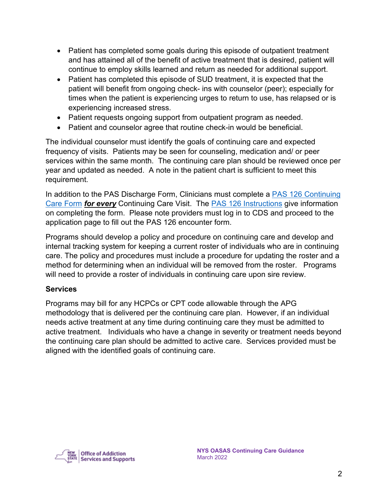- Patient has completed some goals during this episode of outpatient treatment and has attained all of the benefit of active treatment that is desired, patient will continue to employ skills learned and return as needed for additional support.
- Patient has completed this episode of SUD treatment, it is expected that the patient will benefit from ongoing check- ins with counselor (peer); especially for times when the patient is experiencing urges to return to use, has relapsed or is experiencing increased stress.
- Patient requests ongoing support from outpatient program as needed.
- Patient and counselor agree that routine check-in would be beneficial.

The individual counselor must identify the goals of continuing care and expected frequency of visits. Patients may be seen for counseling, medication and/ or peer services within the same month. The continuing care plan should be reviewed once per year and updated as needed. A note in the patient chart is sufficient to meet this requirement.

In addition to the PAS Discharge Form, Clinicians must complete a PAS 126 Continuing [Care Form](https://apps.oasas.ny.gov/portal/page/portal/OASAS_APPS/CDS_Public_Documentation/TAB38646/Tab/PAS-126_012020.pdf) *for every* Continuing Care Visit. The [PAS 126 Instructions](https://apps.oasas.ny.gov/portal/page/portal/OASAS_APPS/CDS_Public_Documentation/TAB38646/Tab/PAS-126Instructions_012020.pdf) give information on completing the form. Please note providers must log in to CDS and proceed to the application page to fill out the PAS 126 encounter form.

Programs should develop a policy and procedure on continuing care and develop and internal tracking system for keeping a current roster of individuals who are in continuing care. The policy and procedures must include a procedure for updating the roster and a method for determining when an individual will be removed from the roster. Programs will need to provide a roster of individuals in continuing care upon sire review.

#### **Services**

Programs may bill for any HCPCs or CPT code allowable through the APG methodology that is delivered per the continuing care plan. However, if an individual needs active treatment at any time during continuing care they must be admitted to active treatment. Individuals who have a change in severity or treatment needs beyond the continuing care plan should be admitted to active care. Services provided must be aligned with the identified goals of continuing care.